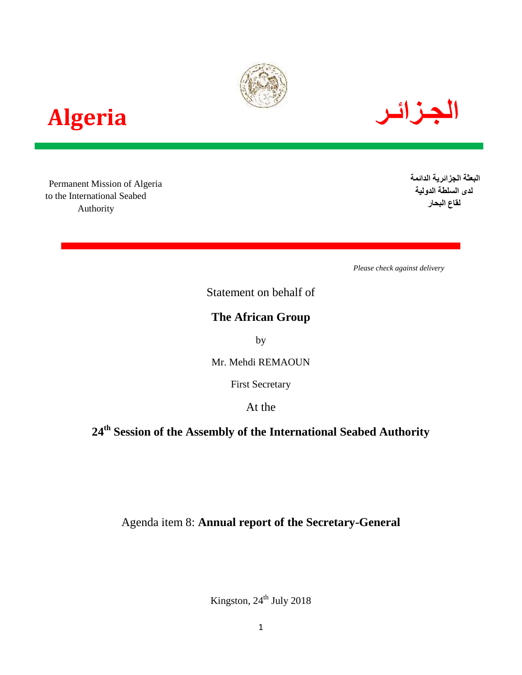





 Permanent Mission of Algeria to the International Seabed Authority

**البعثة الجزائرية الدائمة لدى السلطة الدولية لقاع البحار**

*Please check against delivery*

Statement on behalf of

# **The African Group**

by

Mr. Mehdi REMAOUN

First Secretary

At the

**24th Session of the Assembly of the International Seabed Authority**

Agenda item 8: **Annual report of the Secretary-General**

Kingston,  $24^{\text{th}}$  July 2018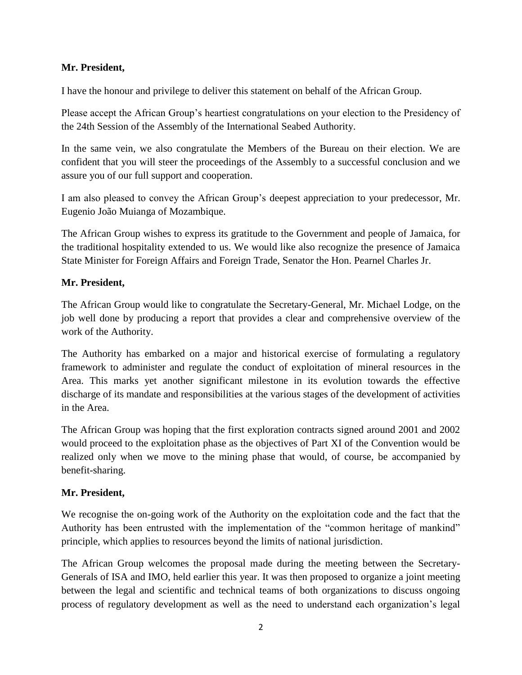## **Mr. President,**

I have the honour and privilege to deliver this statement on behalf of the African Group.

Please accept the African Group's heartiest congratulations on your election to the Presidency of the 24th Session of the Assembly of the International Seabed Authority.

In the same vein, we also congratulate the Members of the Bureau on their election. We are confident that you will steer the proceedings of the Assembly to a successful conclusion and we assure you of our full support and cooperation.

I am also pleased to convey the African Group's deepest appreciation to your predecessor, Mr. Eugenio João Muianga of Mozambique.

The African Group wishes to express its gratitude to the Government and people of Jamaica, for the traditional hospitality extended to us. We would like also recognize the presence of Jamaica State Minister for Foreign Affairs and Foreign Trade, Senator the Hon. Pearnel Charles Jr.

#### **Mr. President,**

The African Group would like to congratulate the Secretary-General, Mr. Michael Lodge, on the job well done by producing a report that provides a clear and comprehensive overview of the work of the Authority.

The Authority has embarked on a major and historical exercise of formulating a regulatory framework to administer and regulate the conduct of exploitation of mineral resources in the Area. This marks yet another significant milestone in its evolution towards the effective discharge of its mandate and responsibilities at the various stages of the development of activities in the Area.

The African Group was hoping that the first exploration contracts signed around 2001 and 2002 would proceed to the exploitation phase as the objectives of Part XI of the Convention would be realized only when we move to the mining phase that would, of course, be accompanied by benefit-sharing.

#### **Mr. President,**

We recognise the on-going work of the Authority on the exploitation code and the fact that the Authority has been entrusted with the implementation of the "common heritage of mankind" principle, which applies to resources beyond the limits of national jurisdiction.

The African Group welcomes the proposal made during the meeting between the Secretary-Generals of ISA and IMO, held earlier this year. It was then proposed to organize a joint meeting between the legal and scientific and technical teams of both organizations to discuss ongoing process of regulatory development as well as the need to understand each organization's legal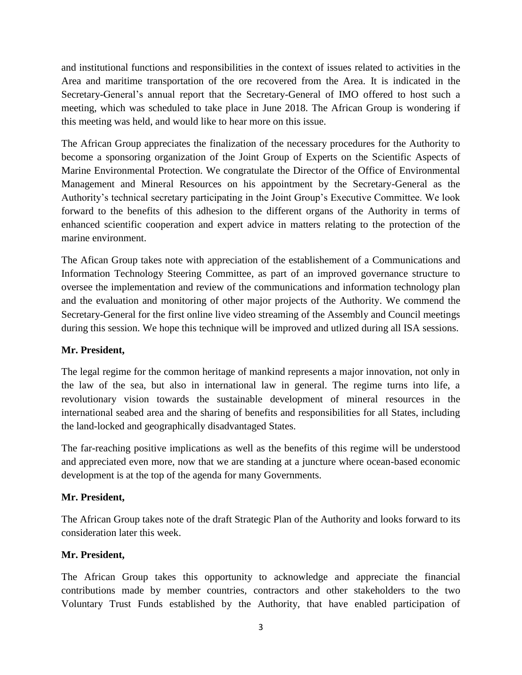and institutional functions and responsibilities in the context of issues related to activities in the Area and maritime transportation of the ore recovered from the Area. It is indicated in the Secretary-General's annual report that the Secretary-General of IMO offered to host such a meeting, which was scheduled to take place in June 2018. The African Group is wondering if this meeting was held, and would like to hear more on this issue.

The African Group appreciates the finalization of the necessary procedures for the Authority to become a sponsoring organization of the Joint Group of Experts on the Scientific Aspects of Marine Environmental Protection. We congratulate the Director of the Office of Environmental Management and Mineral Resources on his appointment by the Secretary-General as the Authority's technical secretary participating in the Joint Group's Executive Committee. We look forward to the benefits of this adhesion to the different organs of the Authority in terms of enhanced scientific cooperation and expert advice in matters relating to the protection of the marine environment.

The Afican Group takes note with appreciation of the establishement of a Communications and Information Technology Steering Committee, as part of an improved governance structure to oversee the implementation and review of the communications and information technology plan and the evaluation and monitoring of other major projects of the Authority. We commend the Secretary-General for the first online live video streaming of the Assembly and Council meetings during this session. We hope this technique will be improved and utlized during all ISA sessions.

## **Mr. President,**

The legal regime for the common heritage of mankind represents a major innovation, not only in the law of the sea, but also in international law in general. The regime turns into life, a revolutionary vision towards the sustainable development of mineral resources in the international seabed area and the sharing of benefits and responsibilities for all States, including the land-locked and geographically disadvantaged States.

The far-reaching positive implications as well as the benefits of this regime will be understood and appreciated even more, now that we are standing at a juncture where ocean-based economic development is at the top of the agenda for many Governments.

## **Mr. President,**

The African Group takes note of the draft Strategic Plan of the Authority and looks forward to its consideration later this week.

## **Mr. President,**

The African Group takes this opportunity to acknowledge and appreciate the financial contributions made by member countries, contractors and other stakeholders to the two Voluntary Trust Funds established by the Authority, that have enabled participation of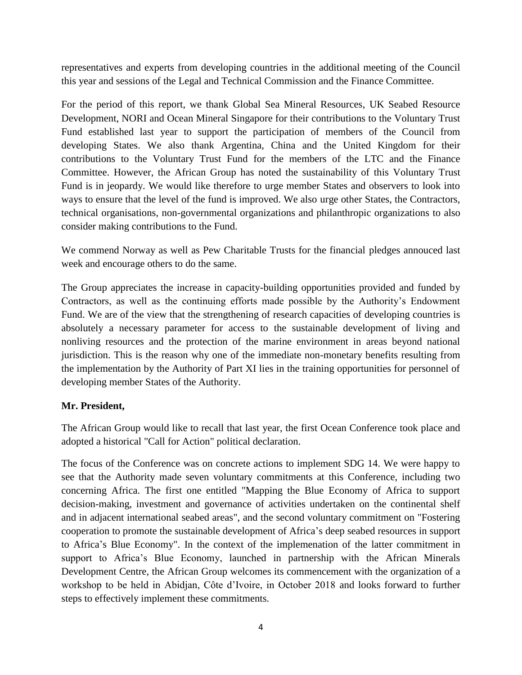representatives and experts from developing countries in the additional meeting of the Council this year and sessions of the Legal and Technical Commission and the Finance Committee.

For the period of this report, we thank Global Sea Mineral Resources, UK Seabed Resource Development, NORI and Ocean Mineral Singapore for their contributions to the Voluntary Trust Fund established last year to support the participation of members of the Council from developing States. We also thank Argentina, China and the United Kingdom for their contributions to the Voluntary Trust Fund for the members of the LTC and the Finance Committee. However, the African Group has noted the sustainability of this Voluntary Trust Fund is in jeopardy. We would like therefore to urge member States and observers to look into ways to ensure that the level of the fund is improved. We also urge other States, the Contractors, technical organisations, non-governmental organizations and philanthropic organizations to also consider making contributions to the Fund.

We commend Norway as well as Pew Charitable Trusts for the financial pledges annouced last week and encourage others to do the same.

The Group appreciates the increase in capacity-building opportunities provided and funded by Contractors, as well as the continuing efforts made possible by the Authority's Endowment Fund. We are of the view that the strengthening of research capacities of developing countries is absolutely a necessary parameter for access to the sustainable development of living and nonliving resources and the protection of the marine environment in areas beyond national jurisdiction. This is the reason why one of the immediate non-monetary benefits resulting from the implementation by the Authority of Part XI lies in the training opportunities for personnel of developing member States of the Authority.

## **Mr. President,**

The African Group would like to recall that last year, the first Ocean Conference took place and adopted a historical "Call for Action" political declaration.

The focus of the Conference was on concrete actions to implement SDG 14. We were happy to see that the Authority made seven voluntary commitments at this Conference, including two concerning Africa. The first one entitled "Mapping the Blue Economy of Africa to support decision-making, investment and governance of activities undertaken on the continental shelf and in adjacent international seabed areas", and the second voluntary commitment on "Fostering cooperation to promote the sustainable development of Africa's deep seabed resources in support to Africa's Blue Economy". In the context of the implemenation of the latter commitment in support to Africa's Blue Economy, launched in partnership with the African Minerals Development Centre, the African Group welcomes its commencement with the organization of a workshop to be held in Abidjan, Côte d'Ivoire, in October 2018 and looks forward to further steps to effectively implement these commitments.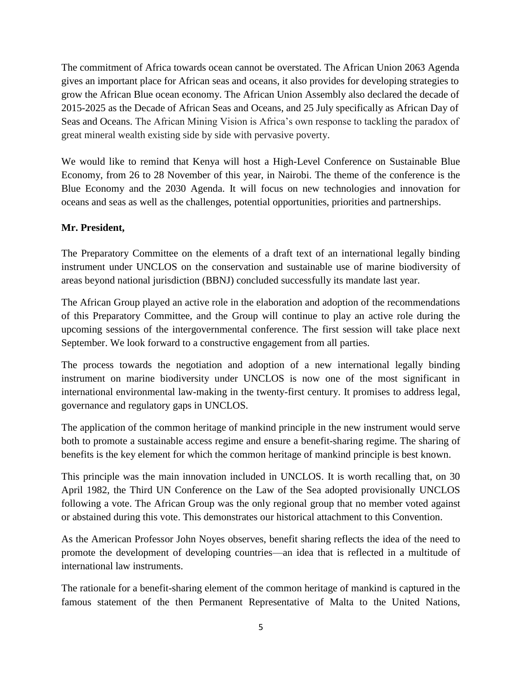The commitment of Africa towards ocean cannot be overstated. The African Union 2063 Agenda gives an important place for African seas and oceans, it also provides for developing strategies to grow the African Blue ocean economy. The African Union Assembly also declared the decade of 2015-2025 as the Decade of African Seas and Oceans, and 25 July specifically as African Day of Seas and Oceans. The African Mining Vision is Africa's own response to tackling the paradox of great mineral wealth existing side by side with pervasive poverty.

We would like to remind that Kenya will host a High-Level Conference on Sustainable Blue Economy, from 26 to 28 November of this year, in Nairobi. The theme of the conference is the Blue Economy and the 2030 Agenda. It will focus on new technologies and innovation for oceans and seas as well as the challenges, potential opportunities, priorities and partnerships.

#### **Mr. President,**

The Preparatory Committee on the elements of a draft text of an international legally binding instrument under UNCLOS on the conservation and sustainable use of marine biodiversity of areas beyond national jurisdiction (BBNJ) concluded successfully its mandate last year.

The African Group played an active role in the elaboration and adoption of the recommendations of this Preparatory Committee, and the Group will continue to play an active role during the upcoming sessions of the intergovernmental conference. The first session will take place next September. We look forward to a constructive engagement from all parties.

The process towards the negotiation and adoption of a new international legally binding instrument on marine biodiversity under UNCLOS is now one of the most significant in international environmental law-making in the twenty-first century. It promises to address legal, governance and regulatory gaps in UNCLOS.

The application of the common heritage of mankind principle in the new instrument would serve both to promote a sustainable access regime and ensure a benefit-sharing regime. The sharing of benefits is the key element for which the common heritage of mankind principle is best known.

This principle was the main innovation included in UNCLOS. It is worth recalling that, on 30 April 1982, the Third UN Conference on the Law of the Sea adopted provisionally UNCLOS following a vote. The African Group was the only regional group that no member voted against or abstained during this vote. This demonstrates our historical attachment to this Convention.

As the American Professor John Noyes observes, benefit sharing reflects the idea of the need to promote the development of developing countries—an idea that is reflected in a multitude of international law instruments.

The rationale for a benefit-sharing element of the common heritage of mankind is captured in the famous statement of the then Permanent Representative of Malta to the United Nations,